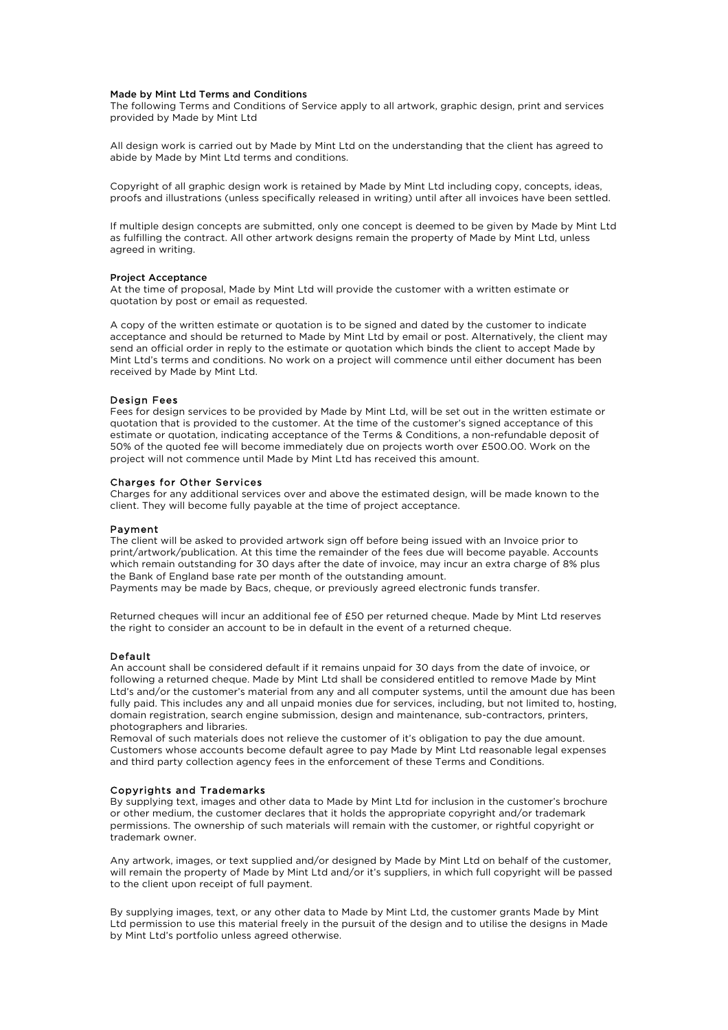#### Made by Mint Ltd Terms and Conditions

The following Terms and Conditions of Service apply to all artwork, graphic design, print and services provided by Made by Mint Ltd

All design work is carried out by Made by Mint Ltd on the understanding that the client has agreed to abide by Made by Mint Ltd terms and conditions.

Copyright of all graphic design work is retained by Made by Mint Ltd including copy, concepts, ideas, proofs and illustrations (unless specifically released in writing) until after all invoices have been settled.

If multiple design concepts are submitted, only one concept is deemed to be given by Made by Mint Ltd as fulfilling the contract. All other artwork designs remain the property of Made by Mint Ltd, unless agreed in writing.

#### Project Acceptance

At the time of proposal, Made by Mint Ltd will provide the customer with a written estimate or quotation by post or email as requested.

A copy of the written estimate or quotation is to be signed and dated by the customer to indicate acceptance and should be returned to Made by Mint Ltd by email or post. Alternatively, the client may send an official order in reply to the estimate or quotation which binds the client to accept Made by Mint Ltd's terms and conditions. No work on a project will commence until either document has been received by Made by Mint Ltd.

### Design Fees

Fees for design services to be provided by Made by Mint Ltd, will be set out in the written estimate or quotation that is provided to the customer. At the time of the customer's signed acceptance of this estimate or quotation, indicating acceptance of the Terms & Conditions, a non-refundable deposit of 50% of the quoted fee will become immediately due on projects worth over £500.00. Work on the project will not commence until Made by Mint Ltd has received this amount.

# Charges for Other Services

Charges for any additional services over and above the estimated design, will be made known to the client. They will become fully payable at the time of project acceptance.

# Payment

The client will be asked to provided artwork sign off before being issued with an Invoice prior to print/artwork/publication. At this time the remainder of the fees due will become payable. Accounts which remain outstanding for 30 days after the date of invoice, may incur an extra charge of 8% plus the Bank of England base rate per month of the outstanding amount.

Payments may be made by Bacs, cheque, or previously agreed electronic funds transfer.

Returned cheques will incur an additional fee of £50 per returned cheque. Made by Mint Ltd reserves the right to consider an account to be in default in the event of a returned cheque.

#### Default

An account shall be considered default if it remains unpaid for 30 days from the date of invoice, or following a returned cheque. Made by Mint Ltd shall be considered entitled to remove Made by Mint Ltd's and/or the customer's material from any and all computer systems, until the amount due has been fully paid. This includes any and all unpaid monies due for services, including, but not limited to, hosting, domain registration, search engine submission, design and maintenance, sub-contractors, printers, photographers and libraries.

Removal of such materials does not relieve the customer of it's obligation to pay the due amount. Customers whose accounts become default agree to pay Made by Mint Ltd reasonable legal expenses and third party collection agency fees in the enforcement of these Terms and Conditions.

#### Copyrights and Trademarks

By supplying text, images and other data to Made by Mint Ltd for inclusion in the customer's brochure or other medium, the customer declares that it holds the appropriate copyright and/or trademark permissions. The ownership of such materials will remain with the customer, or rightful copyright or trademark owner.

Any artwork, images, or text supplied and/or designed by Made by Mint Ltd on behalf of the customer, will remain the property of Made by Mint Ltd and/or it's suppliers, in which full copyright will be passed to the client upon receipt of full payment.

By supplying images, text, or any other data to Made by Mint Ltd, the customer grants Made by Mint Ltd permission to use this material freely in the pursuit of the design and to utilise the designs in Made by Mint Ltd's portfolio unless agreed otherwise.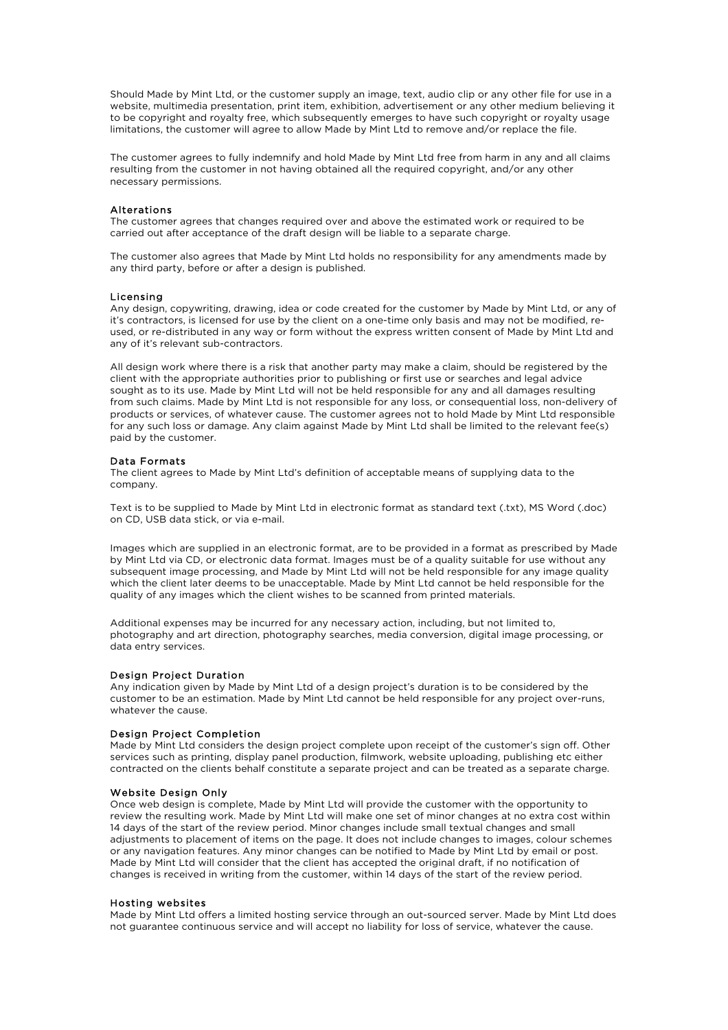Should Made by Mint Ltd, or the customer supply an image, text, audio clip or any other file for use in a website, multimedia presentation, print item, exhibition, advertisement or any other medium believing it to be copyright and royalty free, which subsequently emerges to have such copyright or royalty usage limitations, the customer will agree to allow Made by Mint Ltd to remove and/or replace the file.

The customer agrees to fully indemnify and hold Made by Mint Ltd free from harm in any and all claims resulting from the customer in not having obtained all the required copyright, and/or any other necessary permissions.

### Alterations

The customer agrees that changes required over and above the estimated work or required to be carried out after acceptance of the draft design will be liable to a separate charge.

The customer also agrees that Made by Mint Ltd holds no responsibility for any amendments made by any third party, before or after a design is published.

#### Licensing

Any design, copywriting, drawing, idea or code created for the customer by Made by Mint Ltd, or any of it's contractors, is licensed for use by the client on a one-time only basis and may not be modified, reused, or re-distributed in any way or form without the express written consent of Made by Mint Ltd and any of it's relevant sub-contractors.

All design work where there is a risk that another party may make a claim, should be registered by the client with the appropriate authorities prior to publishing or first use or searches and legal advice sought as to its use. Made by Mint Ltd will not be held responsible for any and all damages resulting from such claims. Made by Mint Ltd is not responsible for any loss, or consequential loss, non-delivery of products or services, of whatever cause. The customer agrees not to hold Made by Mint Ltd responsible for any such loss or damage. Any claim against Made by Mint Ltd shall be limited to the relevant fee(s) paid by the customer.

## Data Formats

The client agrees to Made by Mint Ltd's definition of acceptable means of supplying data to the company.

Text is to be supplied to Made by Mint Ltd in electronic format as standard text (.txt), MS Word (.doc) on CD, USB data stick, or via e-mail.

Images which are supplied in an electronic format, are to be provided in a format as prescribed by Made by Mint Ltd via CD, or electronic data format. Images must be of a quality suitable for use without any subsequent image processing, and Made by Mint Ltd will not be held responsible for any image quality which the client later deems to be unacceptable. Made by Mint Ltd cannot be held responsible for the quality of any images which the client wishes to be scanned from printed materials.

Additional expenses may be incurred for any necessary action, including, but not limited to, photography and art direction, photography searches, media conversion, digital image processing, or data entry services.

# Design Project Duration

Any indication given by Made by Mint Ltd of a design project's duration is to be considered by the customer to be an estimation. Made by Mint Ltd cannot be held responsible for any project over-runs, whatever the cause.

#### Design Project Completion

Made by Mint Ltd considers the design project complete upon receipt of the customer's sign off. Other services such as printing, display panel production, filmwork, website uploading, publishing etc either contracted on the clients behalf constitute a separate project and can be treated as a separate charge.

#### Website Design Only

Once web design is complete, Made by Mint Ltd will provide the customer with the opportunity to review the resulting work. Made by Mint Ltd will make one set of minor changes at no extra cost within 14 days of the start of the review period. Minor changes include small textual changes and small adjustments to placement of items on the page. It does not include changes to images, colour schemes or any navigation features. Any minor changes can be notified to Made by Mint Ltd by email or post. Made by Mint Ltd will consider that the client has accepted the original draft, if no notification of changes is received in writing from the customer, within 14 days of the start of the review period.

#### Hosting websites

Made by Mint Ltd offers a limited hosting service through an out-sourced server. Made by Mint Ltd does not guarantee continuous service and will accept no liability for loss of service, whatever the cause.